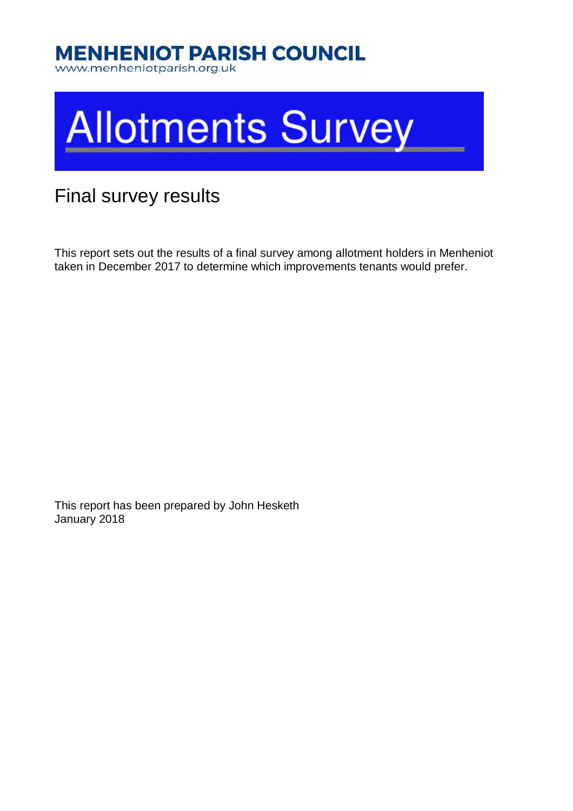# **MENHENIOT PARISH COUNCIL**

www.menheniotparish.org.uk



#### Final survey results

This report sets out the results of a final survey among allotment holders in Menheniot taken in December 2017 to determine which improvements tenants would prefer.

This report has been prepared by John Hesketh January 2018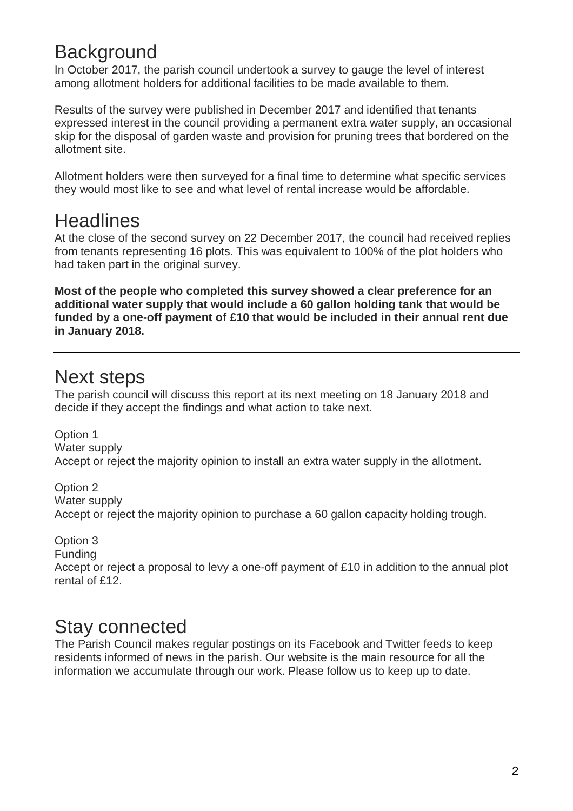## **Background**

In October 2017, the parish council undertook a survey to gauge the level of interest among allotment holders for additional facilities to be made available to them.

Results of the survey were published in December 2017 and identified that tenants expressed interest in the council providing a permanent extra water supply, an occasional skip for the disposal of garden waste and provision for pruning trees that bordered on the allotment site.

Allotment holders were then surveyed for a final time to determine what specific services they would most like to see and what level of rental increase would be affordable.

#### **Headlines**

At the close of the second survey on 22 December 2017, the council had received replies from tenants representing 16 plots. This was equivalent to 100% of the plot holders who had taken part in the original survey.

**Most of the people who completed this survey showed a clear preference for an additional water supply that would include a 60 gallon holding tank that would be funded by a one-off payment of £10 that would be included in their annual rent due in January 2018.** 

#### Next steps

The parish council will discuss this report at its next meeting on 18 January 2018 and decide if they accept the findings and what action to take next.

Option 1 Water supply Accept or reject the majority opinion to install an extra water supply in the allotment.

Option 2 Water supply Accept or reject the majority opinion to purchase a 60 gallon capacity holding trough.

Option 3

Funding

Accept or reject a proposal to levy a one-off payment of £10 in addition to the annual plot rental of £12.

#### Stay connected

The Parish Council makes regular postings on its Facebook and Twitter feeds to keep residents informed of news in the parish. Our website is the main resource for all the information we accumulate through our work. Please follow us to keep up to date.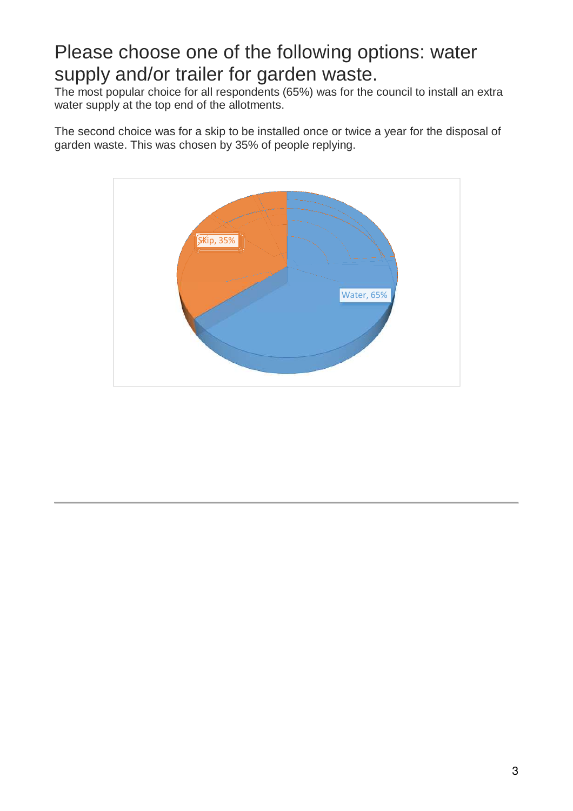## Please choose one of the following options: water supply and/or trailer for garden waste.

The most popular choice for all respondents (65%) was for the council to install an extra water supply at the top end of the allotments.

The second choice was for a skip to be installed once or twice a year for the disposal of garden waste. This was chosen by 35% of people replying.

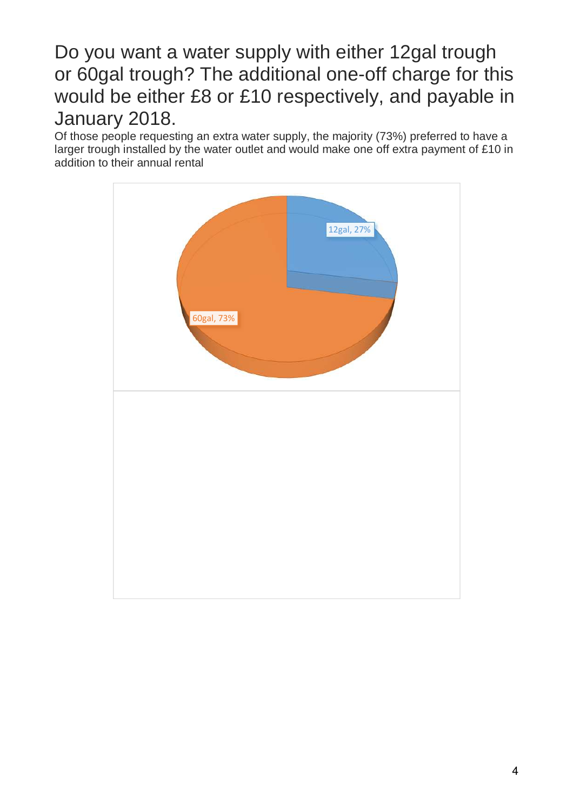## Do you want a water supply with either 12gal trough or 60gal trough? The additional one-off charge for this would be either £8 or £10 respectively, and payable in January 2018.

Of those people requesting an extra water supply, the majority (73%) preferred to have a larger trough installed by the water outlet and would make one off extra payment of £10 in addition to their annual rental

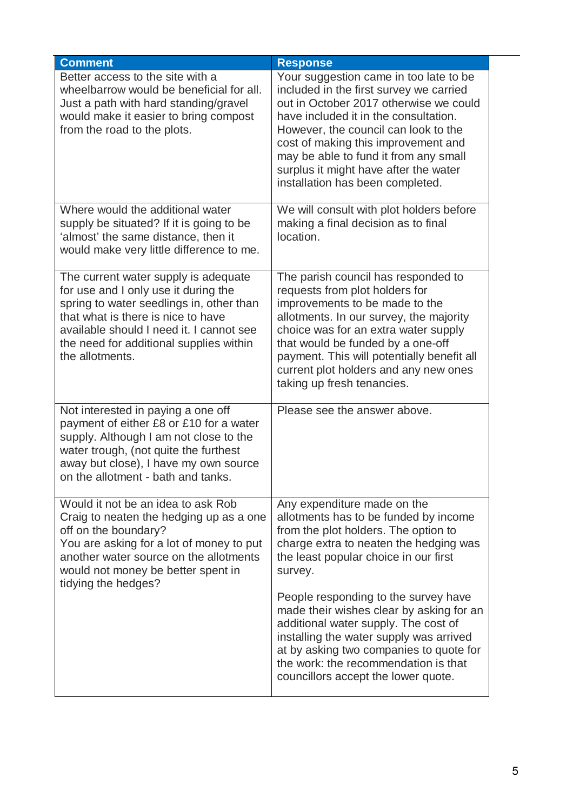| <b>Comment</b>                                                                                                                                                                                                                                                           | <b>Response</b>                                                                                                                                                                                                                                                                                                                                                           |
|--------------------------------------------------------------------------------------------------------------------------------------------------------------------------------------------------------------------------------------------------------------------------|---------------------------------------------------------------------------------------------------------------------------------------------------------------------------------------------------------------------------------------------------------------------------------------------------------------------------------------------------------------------------|
| Better access to the site with a<br>wheelbarrow would be beneficial for all.<br>Just a path with hard standing/gravel<br>would make it easier to bring compost<br>from the road to the plots.                                                                            | Your suggestion came in too late to be<br>included in the first survey we carried<br>out in October 2017 otherwise we could<br>have included it in the consultation.<br>However, the council can look to the<br>cost of making this improvement and<br>may be able to fund it from any small<br>surplus it might have after the water<br>installation has been completed. |
| Where would the additional water<br>supply be situated? If it is going to be<br>'almost' the same distance, then it<br>would make very little difference to me.                                                                                                          | We will consult with plot holders before<br>making a final decision as to final<br>location.                                                                                                                                                                                                                                                                              |
| The current water supply is adequate<br>for use and I only use it during the<br>spring to water seedlings in, other than<br>that what is there is nice to have<br>available should I need it. I cannot see<br>the need for additional supplies within<br>the allotments. | The parish council has responded to<br>requests from plot holders for<br>improvements to be made to the<br>allotments. In our survey, the majority<br>choice was for an extra water supply<br>that would be funded by a one-off<br>payment. This will potentially benefit all<br>current plot holders and any new ones<br>taking up fresh tenancies.                      |
| Not interested in paying a one off<br>payment of either £8 or £10 for a water<br>supply. Although I am not close to the<br>water trough, (not quite the furthest<br>away but close), I have my own source<br>on the allotment - bath and tanks.                          | Please see the answer above.                                                                                                                                                                                                                                                                                                                                              |
| Would it not be an idea to ask Rob<br>Craig to neaten the hedging up as a one<br>off on the boundary?<br>You are asking for a lot of money to put<br>another water source on the allotments<br>would not money be better spent in<br>tidying the hedges?                 | Any expenditure made on the<br>allotments has to be funded by income<br>from the plot holders. The option to<br>charge extra to neaten the hedging was<br>the least popular choice in our first<br>survey.                                                                                                                                                                |
|                                                                                                                                                                                                                                                                          | People responding to the survey have<br>made their wishes clear by asking for an<br>additional water supply. The cost of<br>installing the water supply was arrived<br>at by asking two companies to quote for<br>the work: the recommendation is that<br>councillors accept the lower quote.                                                                             |